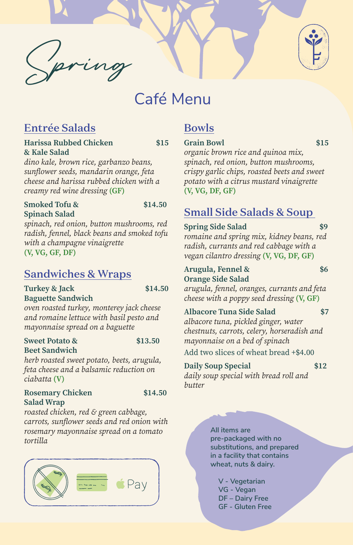

# Café Menu

# Entrée Salads

#### **Harissa Rubbed Chicken \$15 & Kale Salad**

#### **Smoked Tofu & \$14.50 Spinach Salad**

*dino kale, brown rice, garbanzo beans, sunflower seeds, mandarin orange, feta cheese and harissa rubbed chicken with a creamy red wine dressing* **(GF)**

### **Turkey & Jack \$14.50 Baguette Sandwich**

*spinach, red onion, button mushrooms, red radish, fennel, black beans and smoked tofu* 

*with a champagne vinaigrette* **(V, VG, GF, DF)**

# Sandwiches & Wraps

# *oven roasted turkey, monterey jack cheese and romaine lettuce with basil pesto and*

*mayonnaise spread on a baguette*

#### **Sweet Potato & \$13.50 Beet Sandwich**



*herb roasted sweet potato, beets, arugula, feta cheese and a balsamic reduction on ciabatta* **(V)**

# **Rosemary Chicken \$14.50**

#### **Salad Wrap**

*roasted chicken, red & green cabbage, carrots, sunflower seeds and red onion with rosemary mayonnaise spread on a tomato tortilla*



# Bowls

## Grain Bowl \$15

*organic brown rice and quinoa mix, spinach, red onion, button mushrooms, crispy garlic chips, roasted beets and sweet potato with a citrus mustard vinaigrette* **(V, VG, DF, GF)**

# Small Side Salads & Soup

## **Spring Side Salad \$9**

*romaine and spring mix, kidney beans, red radish, currants and red cabbage with a vegan cilantro dressing* **(V, VG, DF, GF)**

## **Arugula, Fennel & \$6 Orange Side Salad**

*arugula, fennel, oranges, currants and feta cheese with a poppy seed dressing* **(V, GF)**

## **Albacore Tuna Side Salad \$7**

*albacore tuna, pickled ginger, water chestnuts, carrots, celery, horseradish and mayonnaise on a bed of spinach*

Add two slices of wheat bread +\$4.00

## **Daily Soup Special \$12**

*daily soup special with bread roll and butter*

> **All items are pre-packaged with no substitutions, and prepared in a facility that contains wheat, nuts & dairy.**

**V - Vegetarian VG - Vegan DF – Dairy Free GF - Gluten Free**